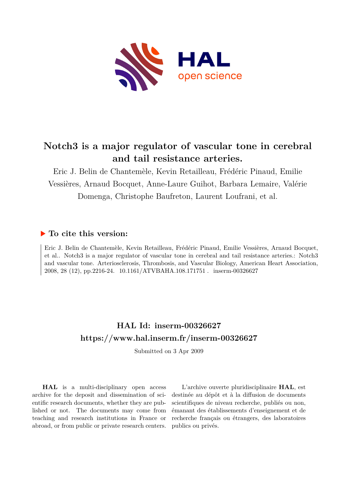

# **Notch3 is a major regulator of vascular tone in cerebral and tail resistance arteries.**

Eric J. Belin de Chantemèle, Kevin Retailleau, Frédéric Pinaud, Emilie Vessières, Arnaud Bocquet, Anne-Laure Guihot, Barbara Lemaire, Valérie Domenga, Christophe Baufreton, Laurent Loufrani, et al.

## **To cite this version:**

Eric J. Belin de Chantemèle, Kevin Retailleau, Frédéric Pinaud, Emilie Vessières, Arnaud Bocquet, et al.. Notch3 is a major regulator of vascular tone in cerebral and tail resistance arteries.: Notch3 and vascular tone. Arteriosclerosis, Thrombosis, and Vascular Biology, American Heart Association, 2008, 28 (12), pp.2216-24. 10.1161/ATVBAHA.108.171751 . inserm-00326627

# **HAL Id: inserm-00326627 <https://www.hal.inserm.fr/inserm-00326627>**

Submitted on 3 Apr 2009

**HAL** is a multi-disciplinary open access archive for the deposit and dissemination of scientific research documents, whether they are published or not. The documents may come from teaching and research institutions in France or abroad, or from public or private research centers.

L'archive ouverte pluridisciplinaire **HAL**, est destinée au dépôt et à la diffusion de documents scientifiques de niveau recherche, publiés ou non, émanant des établissements d'enseignement et de recherche français ou étrangers, des laboratoires publics ou privés.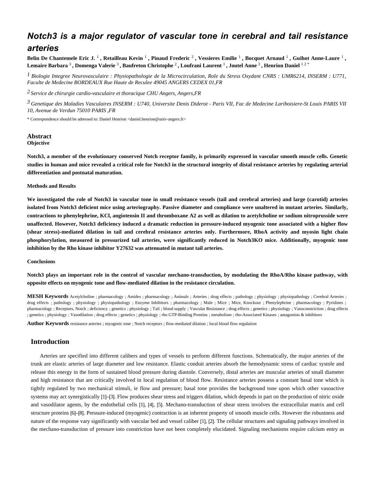## *Notch3 is a major regulator of vascular tone in cerebral and tail resistance arteries*

Belin De Chantemele Eric J.  $^1$  , Retailleau Kevin  $^1$  , Pinaud Frederic  $^2$  , Vessieres Emilie  $^1$  , Bocquet Arnaud  $^1$  , Guihot Anne-Laure  $^1$  , Lemaire Barbara  $^3$  , Domenga Valerie  $^3$  , Baufreton Christophe  $^2$  , Loufrani Laurent  $^1$  , Joutel Anne  $^3$  , Henrion Daniel  $^{1\,2\,*}$ 

*Biologie Integree Neurovasculaire : Physiopathologie de la Microcirculation, Role du Stress Oxydant 1 CNRS : UMR6214, INSERM : U771, Faculte de Medecine BORDEAUX Rue Haute de Reculee 49045 ANGERS CEDEX 01,FR*

*Service de chirurgie cardio-vasculaire et thoracique 2 CHU Angers, Angers,FR*

*Genetique des Maladies Vasculaires 3 INSERM : U740, Universite Denis Diderot - Paris VII, Fac de Medecine Lariboisiere-St Louis PARIS VII 10, Avenue de Verdun 75010 PARIS ,FR*

\* Correspondence should be adressed to: Daniel Henrion <daniel.henrion@univ-angers.fr>

## **Abstract Objective**

**Notch3, a member of the evolutionary conserved Notch receptor family, is primarily expressed in vascular smooth muscle cells. Genetic studies in human and mice revealed a critical role for Notch3 in the structural integrity of distal resistance arteries by regulating arterial differentiation and postnatal maturation.**

### **Methods and Results**

**We investigated the role of Notch3 in vascular tone in small resistance vessels (tail and cerebral arteries) and large (carotid) arteries isolated from Notch3 deficient mice using arteriography. Passive diameter and compliance were unaltered in mutant arteries. Similarly, contractions to phenylephrine, KCl, angiotensin II and thromboxane A2 as well as dilation to acetylcholine or sodium nitroprusside were unaffected. However, Notch3 deficiency induced a dramatic reduction in pressure-induced myogenic tone associated with a higher flow (shear stress)-mediated dilation in tail and cerebral resistance arteries only. Furthermore, RhoA activity and myosin light chain phosphorylation, measured in pressurized tail arteries, were significantly reduced in Notch3KO mice. Additionally, myogenic tone inhibition by the Rho kinase inhibitor Y27632 was attenuated in mutant tail arteries.**

## **Conclusions**

**Notch3 plays an important role in the control of vascular mechano-transduction, by modulating the RhoA/Rho kinase pathway, with opposite effects on myogenic tone and flow-mediated dilation in the resistance circulation.**

**MESH Keywords** Acetylcholine ; pharmacology ; Amides ; pharmacology ; Animals ; Arteries ; drug effects ; pathology ; physiology ; physiopathology ; Cerebral Arteries ; drug effects ; pathology ; physiology ; physiopathology ; Enzyme Inhibitors ; pharmacology ; Male ; Mice ; Mice, Knockout ; Phenylephrine ; pharmacology ; Pyridines ; pharmacology ; Receptors, Notch ; deficiency ; genetics ; physiology ; Tail ; blood supply ; Vascular Resistance ; drug effects ; genetics ; physiology ; Vasoconstriction ; drug effects ; genetics ; physiology ; Vasodilation ; drug effects ; genetics ; physiology ; rho GTP-Binding Proteins ; metabolism ; rho-Associated Kinases ; antagonists & inhibitors

**Author Keywords** resistance arteries ; myogenic tone ; Notch receptors ; flow-mediated dilation ; local blood flow regulation

## **Introduction**

Arteries are specified into different calibers and types of vessels to perform different functions. Schematically, the major arteries of the trunk are elastic arteries of large diameter and low resistance. Elastic conduit arteries absorb the hemodynamic stress of cardiac systole and release this energy in the form of sustained blood pressure during diastole. Conversely, distal arteries are muscular arteries of small diameter and high resistance that are critically involved in local regulation of blood flow. Resistance arteries possess a constant basal tone which is tightly regulated by two mechanical stimuli, ie flow and pressure; basal tone provides the background tone upon which other vasoactive systems may act synergistically [1]–[3]. Flow produces shear stress and triggers dilation, which depends in part on the production of nitric oxide and vasodilator agents, by the endothelial cells [1], [4], [5]. Mechano-transduction of shear stress involves the extracellular matrix and cell structure proteins [6]–[8]. Pressure-induced (myogenic) contraction is an inherent property of smooth muscle cells. However the robustness and nature of the response vary significantly with vascular bed and vessel caliber [1], [2]. The cellular structures and signaling pathways involved in the mechano-transduction of pressure into constriction have not been completely elucidated. Signaling mechanisms require calcium entry as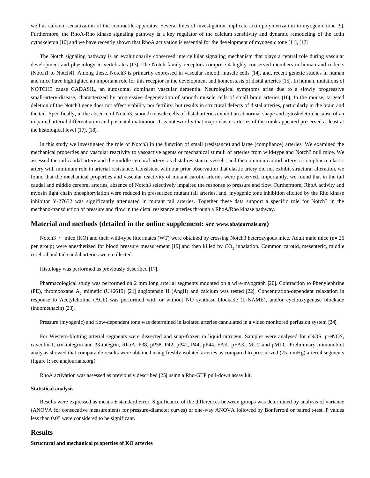well as calcium-sensitization of the contractile apparatus. Several lines of investigation implicate actin polymerization in myogenic tone [9]. Furthermore, the RhoA-Rho kinase signaling pathway is a key regulator of the calcium sensitivity and dynamic remodeling of the actin cytoskeleton [10] and we have recently shown that RhoA activation is essential for the development of myogenic tone [11], [12]

The Notch signaling pathway is an evolutionarily conserved intercellular signaling mechanism that plays a central role during vascular development and physiology in vertebrates [13]. The Notch family receptors comprise 4 highly conserved members in human and rodents (Notch1 to Notch4). Among these, Notch3 is primarily expressed in vascular smooth muscle cells [14], and, recent genetic studies in human and mice have highlighted an important role for this receptor in the development and homeostasis of distal arteries [15]. In human, mutations of NOTCH3 cause CADASIL, an autosomal dominant vascular dementia. Neurological symptoms arise due to a slowly progressive small-artery-disease, characterized by progressive degeneration of smooth muscle cells of small brain arteries [16]. In the mouse, targeted deletion of the Notch3 gene does not affect viability nor fertility, but results in structural defects of distal arteries, particularly in the brain and the tail. Specifically, in the absence of Notch3, smooth muscle cells of distal arteries exhibit an abnormal shape and cytoskeleton because of an impaired arterial differentiation and postnatal maturation. It is noteworthy that major elastic arteries of the trunk appeared preserved at least at the histological level [17], [18].

In this study we investigated the role of Notch3 in the function of small (resistance) and large (compliance) arteries. We examined the mechanical properties and vascular reactivity to vasoactive agents or mechanical stimuli of arteries from wild-type and Notch3 null mice. We assessed the tail caudal artery and the middle cerebral artery, as distal resistance vessels, and the common carotid artery, a compliance elastic artery with minimum role in arterial resistance. Consistent with our prior observation that elastic artery did not exhibit structural alteration, we found that the mechanical properties and vascular reactivity of mutant carotid arteries were preserved. Importantly, we found that in the tail caudal and middle cerebral arteries, absence of Notch3 selectively impaired the response to pressure and flow. Furthermore, RhoA activity and myosin light chain phosphorylation were reduced in pressurized mutant tail arteries, and, myogenic tone inhibition elicited by the Rho kinase inhibitor Y-27632 was significantly attenuated in mutant tail arteries. Together these data support a specific role for Notch3 in the mechano-transduction of pressure and flow in the distal resistance arteries through a RhoA/Rho kinase pathway.

## **Material and methods (detailed in the online supplement: see www.ahajournals.org)**

Notch3−/− mice (KO) and their wild-type littermates (WT) were obtained by crossing Notch3 heterozygous mice. Adult male mice (n= 25 per group) were anesthetized for blood pressure measurement [19] and then killed by CO<sub>2</sub> inhalation. Common carotid, mesenteric, middle cerebral and tail caudal arteries were collected.

Histology was performed as previously described [17].

Pharmacological study was performed on 2 mm long arterial segments mounted on a wire-myograph [20]. Contraction to Phenylephrine (PE), thromboxane  $A_2$  mimetic (U46619) [21] angiotensin II (AngII) and calcium was tested [22]. Concentration-dependent relaxation in response to Acetylcholine (ACh) was performed with or without NO synthase blockade (L-NAME), and/or cyclooxygenase blockade (indomethacin) [23].

Pressure (myogenic) and flow-dependent tone was determined in isolated arteries cannulated in a video monitored perfusion system [24].

For Western-blotting arterial segments were dissected and snap-frozen in liquid nitrogen. Samples were analysed for eNOS, p-eNOS, caveolin-1, αV-integrin and β3-integrin, RhoA, P38, pP38, P42, pP42, P44, pP44, FAK, pFAK, MLC and pMLC. Preliminary immunoblot analysis showed that comparable results were obtained using freshly isolated arteries as compared to pressurized (75 mmHg) arterial segments (figure I: see ahajournals.org).

RhoA activation was assessed as previously described [25] using a Rho-GTP pull-down assay kit.

## **Statistical analysis**

Results were expressed as means ± standard error. Significance of the differences between groups was determined by analysis of variance (ANOVA for consecutive measurements for pressure-diameter curves) or one-way ANOVA followed by Bonferroni or paired t-test. P values less than 0.05 were considered to be significant.

## **Results**

#### **Structural and mechanical properties of KO arteries**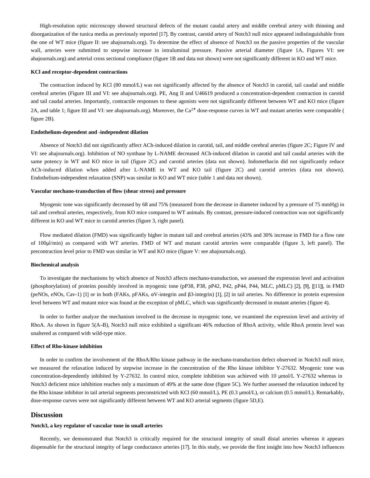High-resolution optic microscopy showed structural defects of the mutant caudal artery and middle cerebral artery with thinning and disorganization of the tunica media as previously reported [17]. By contrast, carotid artery of Notch3 null mice appeared indistinguishable from the one of WT mice (figure II: see ahajournals.org). To determine the effect of absence of Notch3 on the passive properties of the vascular wall, arteries were submitted to stepwise increase in intraluminal pressure. Passive arterial diameter (figure 1A, Figures VI: see ahajournals.org) and arterial cross sectional compliance (figure 1B and data not shown) were not significantly different in KO and WT mice.

#### **KCl and receptor-dependent contractions**

The contraction induced by KCl (80 mmol/L) was not significantly affected by the absence of Notch3 in carotid, tail caudal and middle cerebral arteries (Figure III and VI: see ahajournals.org). PE, Ang II and U46619 produced a concentration-dependent contraction in carotid and tail caudal arteries. Importantly, contractile responses to these agonists were not significantly different between WT and KO mice (figure 2A, and table 1; figure III and VI: see ahajournals.org). Moreover, the  $Ca^{2+}$  dose-response curves in WT and mutant arteries were comparable ( figure 2B).

## **Endothelium-dependent and -independent dilation**

Absence of Notch3 did not significantly affect ACh-induced dilation in carotid, tail, and middle cerebral arteries (figure 2C; Figure IV and VI: see ahajournals.org). Inhibition of NO synthase by L-NAME decreased ACh-induced dilation in carotid and tail caudal arteries with the same potency in WT and KO mice in tail (figure 2C) and carotid arteries (data not shown). Indomethacin did not significantly reduce ACh-induced dilation when added after L-NAME in WT and KO tail (figure 2C) and carotid arteries (data not shown). Endothelium-independent relaxation (SNP) was similar in KO and WT mice (table 1 and data not shown).

#### **Vascular mechano-transduction of flow (shear stress) and pressure**

Myogenic tone was significantly decreased by 68 and 75% (measured from the decrease in diameter induced by a pressure of 75 mmHg) in tail and cerebral arteries, respectively, from KO mice compared to WT animals. By contrast, pressure-induced contraction was not significantly different in KO and WT mice in carotid arteries (figure 3, right panel).

Flow mediated dilation (FMD) was significantly higher in mutant tail and cerebral arteries (43% and 30% increase in FMD for a flow rate of 100μl/min) as compared with WT arteries. FMD of WT and mutant carotid arteries were comparable (figure 3, left panel). The precontraction level prior to FMD was similar in WT and KO mice (figure V: see ahajournals.org).

### **Biochemical analysis**

To investigate the mechanisms by which absence of Notch3 affects mechano-transduction, we assessed the expression level and activation (phosphorylation) of proteins possibly involved in myogenic tone (pP38, P38, pP42, P42, pP44, P44, MLC, pMLC) [2], [9], [[11]], in FMD (peNOs, eNOs, Cav-1) [1] or in both (FAKs, pFAKs, αV-integrin and β3-integrin) [1], [2] in tail arteries. No difference in protein expression level between WT and mutant mice was found at the exception of pMLC, which was significantly decreased in mutant arteries (figure 4).

In order to further analyze the mechanism involved in the decrease in myogenic tone, we examined the expression level and activity of RhoA. As shown in figure 5(A–B), Notch3 null mice exhibited a significant 46% reduction of RhoA activity, while RhoA protein level was unaltered as compared with wild-type mice.

#### **Effect of Rho-kinase inhibition**

In order to confirm the involvement of the RhoA/Rho kinase pathway in the mechano-transduction defect observed in Notch3 null mice, we measured the relaxation induced by stepwise increase in the concentration of the Rho kinase inhibitor Y-27632. Myogenic tone was concentration-dependently inhibited by Y-27632. In control mice, complete inhibition was achieved with 10 μmol/L Y-27632 whereas in Notch3 deficient mice inhibition reaches only a maximum of 49% at the same dose (figure 5C). We further assessed the relaxation induced by the Rho kinase inhibitor in tail arterial segments preconstricted with KCl (60 mmol/L), PE (0.3 μmol/L), or calcium (0.5 mmol/L). Remarkably, dose-response curves were not significantly different between WT and KO arterial segments (figure 5D,E).

## **Discussion**

## **Notch3, a key regulator of vascular tone in small arteries**

Recently, we demonstrated that Notch3 is critically required for the structural integrity of small distal arteries whereas it appears dispensable for the structural integrity of large conductance arteries [17]. In this study, we provide the first insight into how Notch3 influences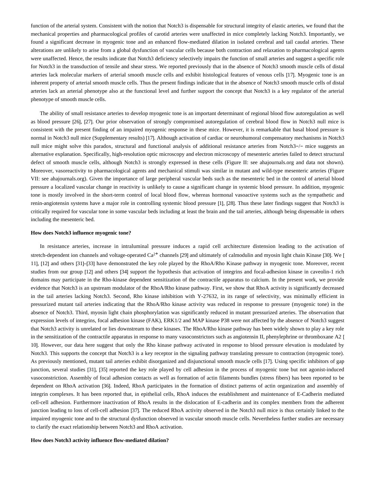function of the arterial system. Consistent with the notion that Notch3 is dispensable for structural integrity of elastic arteries, we found that the mechanical properties and pharmacological profiles of carotid arteries were unaffected in mice completely lacking Notch3. Importantly, we found a significant decrease in myogenic tone and an enhanced flow-mediated dilation in isolated cerebral and tail caudal arteries. These alterations are unlikely to arise from a global dysfunction of vascular cells because both contraction and relaxation to pharmacological agents were unaffected. Hence, the results indicate that Notch3 deficiency selectively impairs the function of small arteries and suggest a specific role for Notch3 in the transduction of tensile and shear stress. We reported previously that in the absence of Notch3 smooth muscle cells of distal arteries lack molecular markers of arterial smooth muscle cells and exhibit histological features of venous cells [17]. Myogenic tone is an inherent property of arterial smooth muscle cells. Thus the present findings indicate that in the absence of Notch3 smooth muscle cells of distal arteries lack an arterial phenotype also at the functional level and further support the concept that Notch3 is a key regulator of the arterial phenotype of smooth muscle cells.

The ability of small resistance arteries to develop myogenic tone is an important determinant of regional blood flow autoregulation as well as blood pressure [26], [27]. Our prior observation of strongly compromised autoregulation of cerebral blood flow in Notch3 null mice is consistent with the present finding of an impaired myogenic response in these mice. However, it is remarkable that basal blood pressure is normal in Notch3 null mice (Supplementary results) [17]. Although activation of cardiac or neurohumoral compensatory mechanisms in Notch3 null mice might solve this paradox, structural and functional analysis of additional resistance arteries from Notch3−/− mice suggests an alternative explanation. Specifically, high-resolution optic microscopy and electron microscopy of mesenteric arteries failed to detect structural defect of smooth muscle cells, although Notch3 is strongly expressed in these cells (Figure II: see ahajournals.org and data not shown). Moreover, vasoreactivity to pharmacological agents and mechanical stimuli was similar in mutant and wild-type mesenteric arteries (Figure VII: see ahajournals.org). Given the importance of large peripheral vascular beds such as the mesenteric bed in the control of arterial blood pressure a localized vascular change in reactivity is unlikely to cause a significant change in systemic blood pressure. In addition, myogenic tone is mostly involved in the short-term control of local blood flow, whereas hormonal vasoactive systems such as the sympathetic and renin-angiotensin systems have a major role in controlling systemic blood pressure [1], [28]. Thus these later findings suggest that Notch3 is critically required for vascular tone in some vascular beds including at least the brain and the tail arteries, although being dispensable in others including the mesenteric bed.

### **How does Notch3 influence myogenic tone?**

In resistance arteries, increase in intraluminal pressure induces a rapid cell architecture distension leading to the activation of stretch-dependent ion channels and voltage-operated  $Ca<sup>2+</sup>$  channels [29] and ultimately of calmodulin and myosin light chain Kinase [30]. We [ 11], [12] and others [31]–[33] have demonstrated the key role played by the RhoA/Rho Kinase pathway in myogenic tone. Moreover, recent studies from our group [12] and others [34] support the hypothesis that activation of integrins and focal-adhesion kinase in caveolin-1 rich domains may participate in the Rho-kinase dependent sensitization of the contractile apparatus to calcium. In the present work, we provide evidence that Notch3 is an upstream modulator of the RhoA/Rho kinase pathway. First, we show that RhoA activity is significantly decreased in the tail arteries lacking Notch3. Second, Rho kinase inhibition with Y-27632, in its range of selectivity, was minimally efficient in pressurized mutant tail arteries indicating that the RhoA/Rho kinase activity was reduced in response to pressure (myogenic tone) in the absence of Notch3. Third, myosin light chain phosphorylation was significantly reduced in mutant pressurized arteries. The observation that expression levels of integrins, focal adhesion kinase (FAK), ERK1/2 and MAP kinase P38 were not affected by the absence of Notch3 suggest that Notch3 activity is unrelated or lies downstream to these kinases. The RhoA/Rho kinase pathway has been widely shown to play a key role in the sensitization of the contractile apparatus in response to many vasoconstrictors such as angiotensin II, phenylephrine or thromboxane A2 [ 10]. However, our data here suggest that only the Rho kinase pathway activated in response to blood pressure elevation is modulated by Notch3. This supports the concept that Notch3 is a key receptor in the signaling pathway translating pressure to contraction (myogenic tone). As previously mentioned, mutant tail arteries exhibit disorganized and disjunctional smooth muscle cells [17]. Using specific inhibitors of gap junction, several studies [31], [35] reported the key role played by cell adhesion in the process of myogenic tone but not agonist-induced vasoconstriction. Assembly of focal adhesion contacts as well as formation of actin filaments bundles (stress fibers) has been reported to be dependent on RhoA activation [36]. Indeed, RhoA participates in the formation of distinct patterns of actin organization and assembly of integrin complexes. It has been reported that, in epithelial cells, RhoA induces the establishment and maintenance of E-Cadherin mediated cell-cell adhesion. Furthermore inactivation of RhoA results in the dislocation of E-cadherin and its complex members from the adherent junction leading to loss of cell-cell adhesion [37]. The reduced RhoA activity observed in the Notch3 null mice is thus certainly linked to the impaired myogenic tone and to the structural dysfunction observed in vascular smooth muscle cells. Nevertheless further studies are necessary to clarify the exact relationship between Notch3 and RhoA activation.

#### **How does Notch3 activity influence flow-mediated dilation?**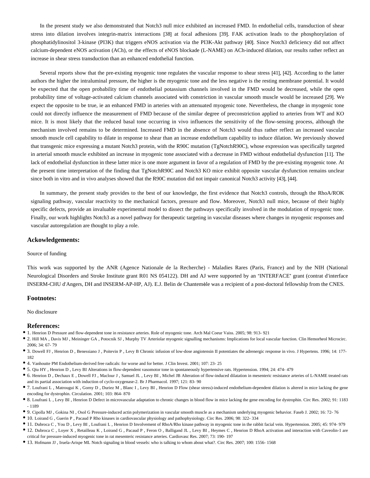In the present study we also demonstrated that Notch3 null mice exhibited an increased FMD. In endothelial cells, transduction of shear stress into dilation involves integrin-matrix interactions [38] at focal adhesions [39]. FAK activation leads to the phosphorylation of phosphatidylinositol 3-kinase (PI3K) that triggers eNOS activation via the PI3K-Akt pathway [40]. Since Notch3 deficiency did not affect calcium-dependent eNOS activation (ACh), or the effects of eNOS blockade (L-NAME) on ACh-induced dilation, our results rather reflect an increase in shear stress transduction than an enhanced endothelial function.

Several reports show that the pre-existing myogenic tone regulates the vascular response to shear stress [41], [42]. According to the latter authors the higher the intraluminal pressure, the higher is the myogenic tone and the less negative is the resting membrane potential. It would be expected that the open probability time of endothelial potassium channels involved in the FMD would be decreased, while the open probability time of voltage-activated calcium channels associated with constriction in vascular smooth muscle would be increased [29]. We expect the opposite to be true, ie an enhanced FMD in arteries with an attenuated myogenic tone. Nevertheless, the change in myogenic tone could not directly influence the measurement of FMD because of the similar degree of preconstriction applied to arteries from WT and KO mice. It is most likely that the reduced basal tone occurring in vivo influences the sensitivity of the flow-sensing process, although the mechanism involved remains to be determined. Increased FMD in the absence of Notch3 would thus rather reflect an increased vascular smooth muscle cell capability to dilate in response to shear than an increase endothelium capability to induce dilation. We previously showed that transgenic mice expressing a mutant Notch3 protein, with the R90C mutation (TgNotchR90C), whose expression was specifically targeted in arterial smooth muscle exhibited an increase in myogenic tone associated with a decrease in FMD without endothelial dysfunction [11]. The lack of endothelial dysfunction in these latter mice is one more argument in favor of a regulation of FMD by the pre-existing myogenic tone. At the present time interpretation of the finding that TgNotchR90C and Notch3 KO mice exhibit opposite vascular dysfunction remains unclear since both in vitro and in vivo analyses showed that the R90C mutation did not impair canonical Notch3 activity [43], [44].

In summary, the present study provides to the best of our knowledge, the first evidence that Notch3 controls, through the RhoA/ROK signaling pathway, vascular reactivity to the mechanical factors, pressure and flow. Moreover, Notch3 null mice, because of their highly specific defects, provide an invaluable experimental model to dissect the pathways specifically involved in the modulation of myogenic tone. Finally, our work highlights Notch3 as a novel pathway for therapeutic targeting in vascular diseases where changes in myogenic responses and vascular autoregulation are thought to play a role.

#### **Ackowledgements:**

#### Source of funding

This work was supported by the ANR (Agence Nationale de la Recherche) - Maladies Rares (Paris, France) and by the NIH (National Neurological Disorders and Stroke Institute grant R01 NS 054122). DH and AJ were supported by an "INTERFACE" grant (contrat d'interface INSERM-CHU d'Angers, DH and INSERM-AP-HP, AJ). E.J. Belin de Chantemèle was a recipient of a post-doctoral fellowship from the CNES.

## **Footnotes:**

No disclosure

#### **References:**

- 1. Henrion D Pressure and flow-dependent tone in resistance arteries. Role of myogenic tone. Arch Mal Coeur Vaiss. 2005; 98: 913- 921
- 2. Hill MA , Davis MJ , Meininger GA , Potocnik SJ , Murphy TV Arteriolar myogenic signalling mechanisms: Implications for local vascular function. Clin Hemorheol Microcirc. 2006; 34: 67- 79
- 3. Dowell FJ , Henrion D , Benessiano J , Poitevin P , Levy B Chronic infusion of low-dose angiotensin II potentiates the adrenergic response in vivo. J Hypertens. 1996; 14: 177- 182
- 4. Vanhoutte PM Endothelium-derived free radicals: for worse and for better. J Clin Invest. 2001; 107: 23- 25
- 5. Qiu HY , Henrion D , Levy BI Alterations in flow-dependent vasomotor tone in spontaneously hypertensive rats. Hypertension. 1994; 24: 474- 479
- 6. Henrion D , Dechaux E , Dowell FJ , Maclour J , Samuel JL , Levy BI , Michel JB Alteration of flow-induced dilatation in mesenteric resistance arteries of L-NAME treated rats and its partial association with induction of cyclo-oxygenase-2. Br J Pharmacol. 1997; 121: 83- 90
- 7. Loufrani L , Matrougui K , Gorny D , Duriez M , Blanc I , Levy BI , Henrion D Flow (shear stress)-induced endothelium-dependent dilation is altered in mice lacking the gene encoding for dystrophin. Circulation. 2001; 103: 864- 870
- 8. Loufrani L , Levy BI , Henrion D Defect in microvascular adaptation to chronic changes in blood flow in mice lacking the gene encoding for dystrophin. Circ Res. 2002; 91: 1183 - 1189
- 9. Cipolla MJ , Gokina NI , Osol G Pressure-induced actin polymerization in vascular smooth muscle as a mechanism underlying myogenic behavior. Faseb J. 2002; 16: 72- 76
- 10. Loirand G , Guerin P , Pacaud P Rho kinases in cardiovascular physiology and pathophysiology. Circ Res. 2006; 98: 322- 334
- 11. Dubroca C , You D , Levy BI , Loufrani L , Henrion D Involvement of RhoA/Rho kinase pathway in myogenic tone in the rabbit facial vein. Hypertension. 2005; 45: 974- 979
- 12. Dubroca C , Loyer X , Retailleau K , Loirand G , Pacaud P , Feron O , Balligand JL , Levy BI , Heymes C , Henrion D RhoA activation and interaction with Caveolin-1 are critical for pressure-induced myogenic tone in rat mesenteric resistance arteries. Cardiovasc Res. 2007; 73: 190- 197
- 13. Hofmann JJ , Iruela-Arispe ML Notch signaling in blood vessels: who is talking to whom about what?. Circ Res. 2007; 100: 1556- 1568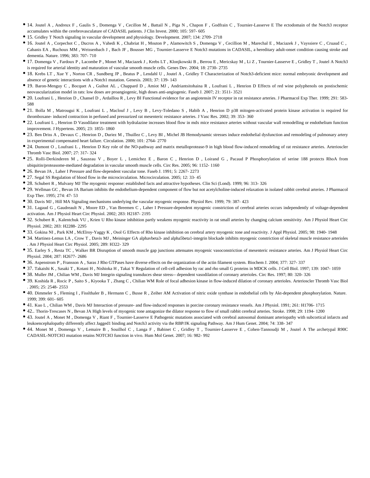- 14. Joutel A , Andreux F , Gaulis S , Domenga V , Cecillon M , Battail N , Piga N , Chapon F , Godfrain C , Tournier-Lasserve E The ectodomain of the Notch3 receptor accumulates within the cerebrovasculature of CADASIL patients. J Clin Invest. 2000; 105: 597- 605
- 15. Gridley T Notch signaling in vascular development and physiology. Development. 2007; 134: 2709- 2718
- 16. Joutel A , Corpechot C , Ducros A , Vahedi K , Chabriat H , Mouton P , Alamowitch S , Domenga V , Cecillion M , Marechal E , Maciazek J , Vayssiere C , Cruaud C , Cabanis EA , Ruchoux MM , Weissenbach J , Bach JF , Bousser MG , Tournier-Lasserve E Notch3 mutations in CADASIL, a hereditary adult-onset condition causing stroke and dementia. Nature. 1996; 383: 707- 710
- 17. Domenga V , Fardoux P , Lacombe P , Monet M , Maciazek J , Krebs LT , Klonjkowski B , Berrou E , Mericskay M , Li Z , Tournier-Lasserve E , Gridley T , Joutel A Notch3 is required for arterial identity and maturation of vascular smooth muscle cells. Genes Dev. 2004; 18: 2730- 2735
- 18. Krebs LT , Xue Y , Norton CR , Sundberg JP , Beatus P , Lendahl U , Joutel A , Gridley T Characterization of Notch3-deficient mice: normal embryonic development and absence of genetic interactions with a Notch1 mutation. Genesis. 2003; 37: 139- 143
- 19. Baron-Menguy C , Bocquet A , Guihot AL , Chappard D , Amiot MJ , Andriantsitohaina R , Loufrani L , Henrion D Effects of red wine polyphenols on postischemic neovascularization model in rats: low doses are proangiogenic, high doses anti-angiogenic. Faseb J. 2007; 21: 3511- 3521
- 20. Loufrani L , Henrion D , Chansel D , Ardaillou R , Levy BI Functional evidence for an angiotensin IV receptor in rat resistance arteries. J Pharmacol Exp Ther. 1999; 291: 583- 588
- 21. Bolla M , Matrougui K , Loufrani L , Maclouf J , Levy B , Levy-Toledano S , Habib A , Henrion D p38 mitogen-activated protein kinase activation is required for thromboxane- induced contraction in perfused and pressurized rat mesenteric resistance arteries. J Vasc Res. 2002; 39: 353- 360
- 22. Loufrani L , Henrion D Vasodilator treatment with hydralazine increases blood flow in mdx mice resistance arteries without vascular wall remodelling or endothelium function improvement. J Hypertens. 2005; 23: 1855- 1860
- 23. Ben Driss A , Devaux C , Henrion D , Duriez M , Thuillez C , Levy BI , Michel JB Hemodynamic stresses induce endothelial dysfunction and remodeling of pulmonary artery in experimental compensated heart failure. Circulation. 2000; 101: 2764- 2770
- 24. Dumont O, Loufrani L, Henrion D Key role of the NO-pathway and matrix metalloprotease-9 in high blood flow-induced remodeling of rat resistance arteries. Arterioscler Thromb Vasc Biol. 2007; 27: 317- 324
- 25. Rolli-Derkinderen M , Sauzeau V , Boyer L , Lemichez E , Baron C , Henrion D , Loirand G , Pacaud P Phosphorylation of serine 188 protects RhoA from ubiquitin/proteasome-mediated degradation in vascular smooth muscle cells. Circ Res. 2005; 96: 1152- 1160
- 26. Bevan JA , Laher I Pressure and flow-dependent vascular tone. Faseb J. 1991; 5: 2267- 2273
- 27. Segal SS Regulation of blood flow in the microcirculation. Microcirculation. 2005; 12: 33- 45
- 28. Schubert R , Mulvany MJ The myogenic response: established facts and attractive hypotheses. Clin Sci (Lond). 1999; 96: 313- 326
- 29. Wellman GC , Bevan JA Barium inhibits the endothelium-dependent component of flow but not acetylcholine-induced relaxation in isolated rabbit cerebral arteries. J Pharmacol Exp Ther. 1995; 274: 47- 53
- 30. Davis MJ , Hill MA Signaling mechanisms underlying the vascular myogenic response. Physiol Rev. 1999; 79: 387- 423
- 31. Lagaud G, Gaudreault N, Moore ED, Van Breemen C, Laher I Pressure-dependent myogenic constriction of cerebral arteries occurs independently of voltage-dependent activation. Am J Physiol Heart Circ Physiol. 2002; 283: H2187- 2195
- 32. Schubert R, Kalentchuk VU, Krien U Rho kinase inhibition partly weakens myogenic reactivity in rat small arteries by changing calcium sensitivity. Am J Physiol Heart Circ Physiol. 2002; 283: H2288- 2295
- 33. Gokina NI , Park KM , McElroy-Yaggy K , Osol G Effects of Rho kinase inhibition on cerebral artery myogenic tone and reactivity. J Appl Physiol. 2005; 98: 1940- 1948
- 34. Martinez-Lemus LA , Crow T , Davis MJ , Meininger GA alphavbeta3- and alpha5beta1-integrin blockade inhibits myogenic constriction of skeletal muscle resistance arterioles . Am J Physiol Heart Circ Physiol. 2005; 289: H322- 329
- 35. Earley S, Resta TC, Walker BR Disruption of smooth muscle gap junctions attenuates myogenic vasoconstriction of mesenteric resistance arteries. Am J Physiol Heart Circ Physiol. 2004; 287: H2677- 2686
- 36. Aspenstrom P , Fransson A , Saras J Rho GTPases have diverse effects on the organization of the actin filament system. Biochem J. 2004; 377: 327- 337
- <sup>9</sup> 37. Takaishi K , Sasaki T , Kotani H , Nishioka H , Takai Y Regulation of cell-cell adhesion by rac and rho small G proteins in MDCK cells. J Cell Biol. 1997; 139: 1047- 1059
- 38. Muller JM , Chilian WM , Davis MJ Integrin signaling transduces shear stress-- dependent vasodilation of coronary arterioles. Circ Res. 1997; 80: 320- 326
- 39. Koshida R , Rocic P , Saito S , Kiyooka T , Zhang C , Chilian WM Role of focal adhesion kinase in flow-induced dilation of coronary arterioles. Arterioscler Thromb Vasc Biol . 2005; 25: 2548- 2553
- 40. Dimmeler S , Fleming I , Fisslthaler B , Hermann C , Busse R , Zeiher AM Activation of nitric oxide synthase in endothelial cells by Akt-dependent phosphorylation. Nature. 1999; 399: 601- 605
- 41. Kuo L , Chilian WM , Davis MJ Interaction of pressure- and flow-induced responses in porcine coronary resistance vessels. Am J Physiol. 1991; 261: H1706- 1715
- 42.. Thorin-Trescases N , Bevan JA High levels of myogenic tone antagonize the dilator response to flow of small rabbit cerebral arteries. Stroke. 1998; 29: 1194- 1200
- 43. Joutel A, Monet M, Domenga V, Riant F, Tournier-Lasserve E Pathogenic mutations associated with cerebral autosomal dominant arteriopathy with subcortical infarcts and leukoencephalopathy differently affect Jagged1 binding and Notch3 activity via the RBP/JK signaling Pathway. Am J Hum Genet. 2004; 74: 338- 347
- 44. Monet M , Domenga V , Lemaire B , Souilhol C , Langa F , Babinet C , Gridley T , Tournier-Lasserve E , Cohen-Tannoudji M , Joutel A The archetypal R90C CADASIL-NOTCH3 mutation retains NOTCH3 function in vivo. Hum Mol Genet. 2007; 16: 982- 992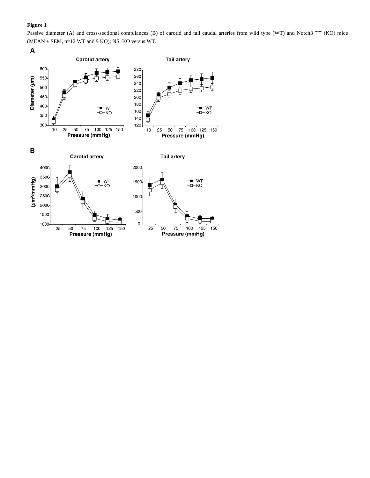Passive diameter (A) and cross-sectional compliances (B) of carotid and tail caudal arteries from wild type (WT) and Notch3 <sup>-/-</sup> (KO) mice (MEAN ± SEM, n=12 WT and 9 KO); NS, KO versus WT.

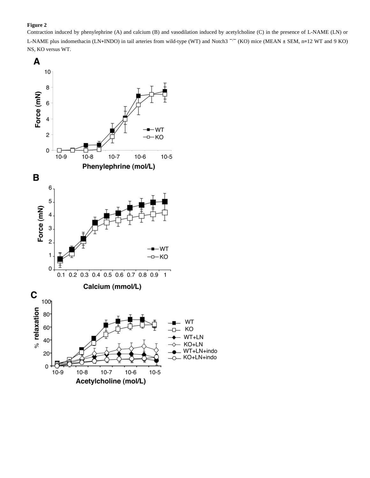Contraction induced by phenylephrine (A) and calcium (B) and vasodilation induced by acetylcholine (C) in the presence of L-NAME (LN) or L-NAME plus indomethacin (LN+INDO) in tail arteries from wild-type (WT) and Notch3<sup>-/-</sup> (KO) mice (MEAN ± SEM, n=12 WT and 9 KO) NS, KO versus WT.

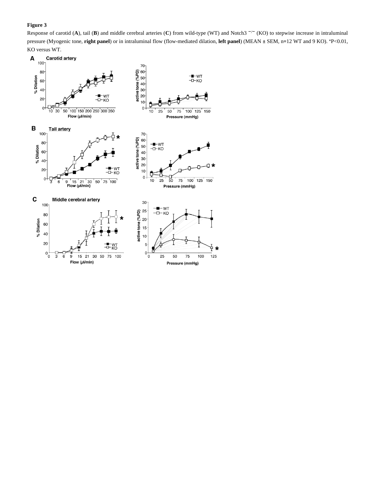Response of carotid (**A**), tail (**B**) and middle cerebral arteries (**C**) from wild-type (WT) and Notch3<sup>-/−</sup> (KO) to stepwise increase in intraluminal pressure (Myogenic tone, **right panel**) or in intraluminal flow (flow-mediated dilation, **left panel**) (MEAN ± SEM, n=12 WT and 9 KO). \*P<0.01, KO versus WT.

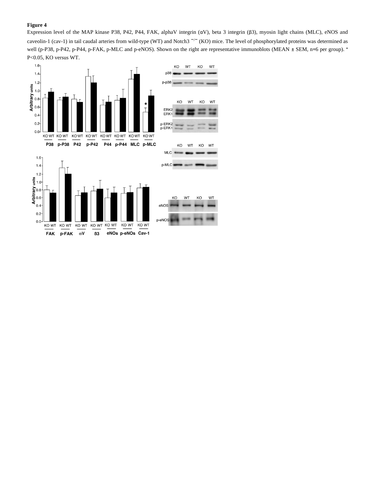Expression level of the MAP kinase P38, P42, P44, FAK, alphaV integrin (αV), beta 3 integrin (β3), myosin light chains (MLC), eNOS and caveolin-1 (cav-1) in tail caudal arteries from wild-type (WT) and Notch3 <sup>-/-</sup> (KO) mice. The level of phosphorylated proteins was determined as well (p-P38, p-P42, p-P44, p-FAK, p-MLC and p-eNOS). Shown on the right are representative immunoblots (MEAN ± SEM, n=6 per group). \* P<0.05, KO versus WT.

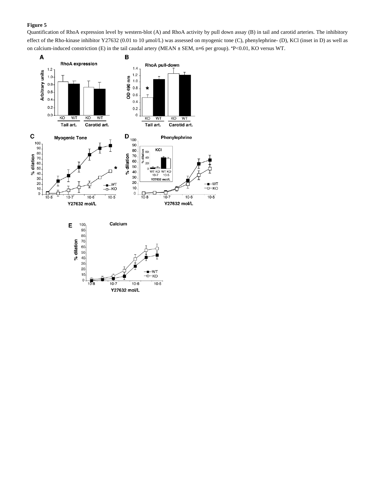Quantification of RhoA expression level by western-blot (A) and RhoA activity by pull down assay (B) in tail and carotid arteries. The inhibitory effect of the Rho-kinase inhibitor Y27632 (0.01 to 10 μmol/L) was assessed on myogenic tone (C), phenylephrine- (D), KCl (inset in D) as well as on calcium-induced constriction (E) in the tail caudal artery (MEAN ± SEM, n=6 per group). \*P<0.01, KO versus WT.